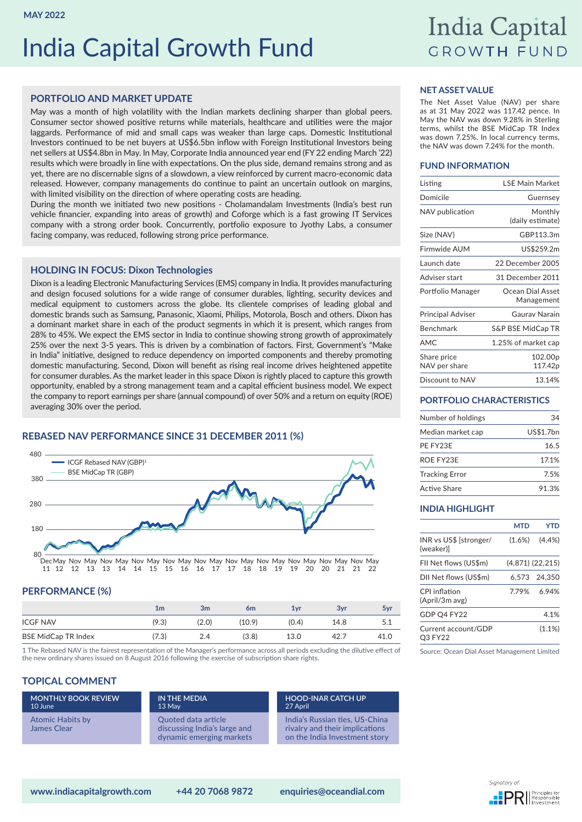# India Capital Growth Fund

## India Capital **GROWTH FUND**

## **PORTFOLIO AND MARKET UPDATE**

May was a month of high volatility with the Indian markets declining sharper than global peers. Consumer sector showed positive returns while materials, healthcare and utilities were the major laggards. Performance of mid and small caps was weaker than large caps. Domestic Institutional Investors continued to be net buyers at US\$6.5bn inflow with Foreign Institutional Investors being net sellers at US\$4.8bn in May. In May, Corporate India announced year end (FY 22 ending March '22) results which were broadly in line with expectations. On the plus side, demand remains strong and as yet, there are no discernable signs of a slowdown, a view reinforced by current macro-economic data released. However, company managements do continue to paint an uncertain outlook on margins, with limited visibility on the direction of where operating costs are heading.

During the month we initiated two new positions - Cholamandalam Investments (India's best run vehicle financier, expanding into areas of growth) and Coforge which is a fast growing IT Services company with a strong order book. Concurrently, portfolio exposure to Jyothy Labs, a consumer facing company, was reduced, following strong price performance.

## **HOLDING IN FOCUS: Dixon Technologies**

Dixon is a leading Electronic Manufacturing Services (EMS) company in India. It provides manufacturing and design focused solutions for a wide range of consumer durables, lighting, security devices and medical equipment to customers across the globe. Its clientele comprises of leading global and domestic brands such as Samsung, Panasonic, Xiaomi, Philips, Motorola, Bosch and others. Dixon has a dominant market share in each of the product segments in which it is present, which ranges from 28% to 45%. We expect the EMS sector in India to continue showing strong growth of approximately 25% over the next 3-5 years. This is driven by a combination of factors. First, Government's "Make in India" initiative, designed to reduce dependency on imported components and thereby promoting domestic manufacturing. Second, Dixon will benefit as rising real income drives heightened appetite for consumer durables. As the market leader in this space Dixon is rightly placed to capture this growth opportunity, enabled by a strong management team and a capital efficient business model. We expect the company to report earnings per share (annual compound) of over 50% and a return on equity (ROE) averaging 30% over the period.

## **REBASED NAV PERFORMANCE SINCE 31 DECEMBER 2011 (%)**





## **PERFORMANCE (%)**

|                            | 1m    | 3 <sub>m</sub> | 6m     | $1$ vr | 3vr  | 5yr  |
|----------------------------|-------|----------------|--------|--------|------|------|
| <b>ICGF NAV</b>            | (9.3) | (2.0)          | (10.9) | (0.4)  | 14.8 | J.L  |
| <b>BSE MidCap TR Index</b> | 7.3)  | 24             | (3.8)  | 13.0   | 42.7 | 41.0 |

1 The Rebased NAV is the fairest representation of the Manager's performance across all periods excluding the dilutive effect of the new ordinary shares issued on 8 August 2016 following the exercise of subscription share rights.

## **TOPICAL COMMENT**

| <b>MONTHLY BOOK REVIEW</b>             | IN THE MEDIA                                                                    | <b>HOOD-INAR CATCH UP</b>                                                                         |
|----------------------------------------|---------------------------------------------------------------------------------|---------------------------------------------------------------------------------------------------|
| 10 June                                | 13 May                                                                          | 27 April                                                                                          |
| <b>Atomic Habits by</b><br>James Clear | Quoted data article<br>discussing India's large and<br>dynamic emerging markets | India's Russian ties, US-China<br>rivalry and their implications<br>on the India Investment story |

## **NET ASSET VALUE**

The Net Asset Value (NAV) per share as at 31 May 2022 was 117.42 pence. In May the NAV was down 9.28% in Sterling terms, whilst the BSE MidCap TR Index was down 7.25%. In local currency terms, the NAV was down 7.24% for the month.

## **FUND INFORMATION**

| Listing                      | <b>I SF Main Market</b>        |
|------------------------------|--------------------------------|
| Domicile                     | Guernsey                       |
| NAV publication              | Monthly<br>(daily estimate)    |
| Size (NAV)                   | GBP113.3m                      |
| Firmwide AUM                 | US\$259.2m                     |
| Launch date                  | 22 December 2005               |
| Adviser start                | 31 December 2011               |
| Portfolio Manager            | Ocean Dial Asset<br>Management |
| <b>Principal Adviser</b>     | Gauray Narain                  |
| Benchmark                    | <b>S&amp;P BSE MidCap TR</b>   |
| AMC                          | 1.25% of market cap            |
| Share price<br>NAV per share | 102.00 <sub>p</sub><br>117.42p |
| Discount to NAV              | 13.14%                         |

## **PORTFOLIO CHARACTERISTICS**

| Number of holdings    | 34        |
|-----------------------|-----------|
| Median market cap     | US\$1.7bn |
| PE FY23E              | 16.5      |
| ROF FY23F             | 17.1%     |
| <b>Tracking Error</b> | 7.5%      |
| Active Share          | 91.3%     |

## **INDIA HIGHLIGHT**

|                                     | MTD       | YTD             |
|-------------------------------------|-----------|-----------------|
| INR vs US\$ [stronger/<br>(weaker)] | $(1.6\%)$ | (4.4% )         |
| FII Net flows (US\$m)               |           | (4.871)(22.215) |
| DII Net flows (US\$m)               |           | 6.573 24.350    |
| CPI inflation<br>(April/3m avg)     | 7.79%     | 6.94%           |
| GDP O4 FY22                         |           | 4.1%            |
| Current account/GDP<br>O3 FY22      |           | $(1.1\%)$       |

Source: Ocean Dial Asset Management Limited

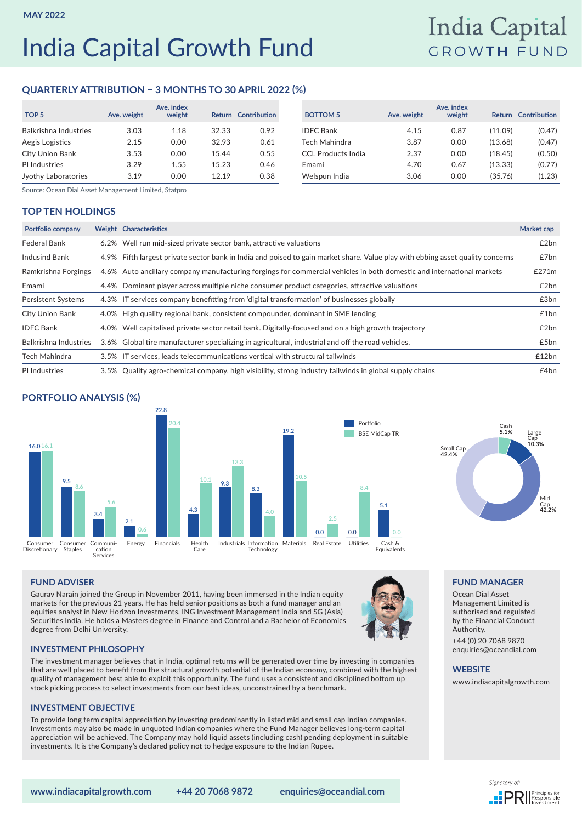# India Capital Growth Fund

## India Capital **GROWTH FUND**

## **QUARTERLY ATTRIBUTION – 3 MONTHS TO 30 APRIL 2022 (%)**

| TOP <sub>5</sub>      | Ave. weight | Ave. index<br>weight |       | <b>Return Contribution</b> | <b>BOTTOM 5</b>           | Ave. weight | Ave. index<br>weight | Return  | Contribution |
|-----------------------|-------------|----------------------|-------|----------------------------|---------------------------|-------------|----------------------|---------|--------------|
| Balkrishna Industries | 3.03        | 1.18                 | 32.33 | 0.92                       | <b>IDFC</b> Bank          | 4.15        | 0.87                 | (11.09) | (0.47)       |
| Aegis Logistics       | 2.15        | 0.00                 | 32.93 | 0.61                       | Tech Mahindra             | 3.87        | 0.00                 | (13.68) | (0.47)       |
| City Union Bank       | 3.53        | 0.00                 | 15.44 | 0.55                       | <b>CCL Products India</b> | 2.37        | 0.00                 | (18.45) | (0.50)       |
| PI Industries         | 3.29        | 1.55                 | 15.23 | 0.46                       | Emami                     | 4.70        | 0.67                 | (13.33) | (0.77)       |
| Jyothy Laboratories   | 3.19        | 0.00                 | 12.19 | 0.38                       | Welspun India             | 3.06        | 0.00                 | (35.76) | (1.23)       |

| index<br>weight | <b>Return</b> | <b>Contribution</b> | <b>BOTTOM 5</b>           | Ave. weight | Ave. index<br>weight | <b>Return</b> | Contribution |
|-----------------|---------------|---------------------|---------------------------|-------------|----------------------|---------------|--------------|
| 1.18            | 32.33         | 0.92                | <b>IDFC Bank</b>          | 4.15        | 0.87                 | (11.09)       | (0.47)       |
| 0.00            | 32.93         | 0.61                | Tech Mahindra             | 3.87        | 0.00                 | (13.68)       | (0.47)       |
| 0.00            | 15.44         | 0.55                | <b>CCL Products India</b> | 2.37        | 0.00                 | (18.45)       | (0.50)       |
| 1.55            | 15.23         | 0.46                | Emami                     | 4.70        | 0.67                 | (13.33)       | (0.77)       |
| 0.00            | 12.19         | 0.38                | Welspun India             | 3.06        | 0.00                 | (35.76)       | (1.23)       |

Source: Ocean Dial Asset Management Limited, Statpro

## **TOP TEN HOLDINGS**

| <b>Portfolio company</b>  | Weight Characteristics                                                                                                         | Market cap |
|---------------------------|--------------------------------------------------------------------------------------------------------------------------------|------------|
| <b>Federal Bank</b>       | 6.2% Well run mid-sized private sector bank, attractive valuations                                                             | £2bn       |
| <b>Indusind Bank</b>      | 4.9% Fifth largest private sector bank in India and poised to gain market share. Value play with ebbing asset quality concerns | £7bn       |
| Ramkrishna Forgings       | 4.6% Auto ancillary company manufacturing forgings for commercial vehicles in both domestic and international markets          | £271m      |
| Emami                     | 4.4% Dominant player across multiple niche consumer product categories, attractive valuations                                  | £2bn       |
| <b>Persistent Systems</b> | 4.3% IT services company benefitting from 'digital transformation' of businesses globally                                      | £3bn       |
| City Union Bank           | 4.0% High quality regional bank, consistent compounder, dominant in SME lending                                                | £1bn       |
| <b>IDFC Bank</b>          | 4.0% Well capitalised private sector retail bank. Digitally-focused and on a high growth trajectory                            | £2bn       |
| Balkrishna Industries     | 3.6% Global tire manufacturer specializing in agricultural, industrial and off the road vehicles.                              | £5bn       |
| <b>Tech Mahindra</b>      | 3.5% IT services, leads telecommunications vertical with structural tailwinds                                                  | £12bn      |
| PI Industries             | 3.5% Quality agro-chemical company, high visibility, strong industry tailwinds in global supply chains                         | £4bn       |

## **PORTFOLIO ANALYSIS (%)**





**FUND MANAGER** Ocean Dial Asset Management Limited is authorised and regulated by the Financial Conduct

+44 (0) 20 7068 9870 enquiries@oceandial.com

[www.indiacapitalgrowth.com](http://www.indiacapitalgrowth.com)

Authority.

**WEBSITE**

## **FUND ADVISER**

Gaurav Narain joined the Group in November 2011, having been immersed in the Indian equity markets for the previous 21 years. He has held senior positions as both a fund manager and an equities analyst in New Horizon Investments, ING Investment Management India and SG (Asia) Securities India. He holds a Masters degree in Finance and Control and a Bachelor of Economics degree from Delhi University.



#### **INVESTMENT PHILOSOPHY**

The investment manager believes that in India, optimal returns will be generated over time by investing in companies that are well placed to benefit from the structural growth potential of the Indian economy, combined with the highest quality of management best able to exploit this opportunity. The fund uses a consistent and disciplined bottom up stock picking process to select investments from our best ideas, unconstrained by a benchmark.

#### **INVESTMENT OBJECTIVE**

To provide long term capital appreciation by investing predominantly in listed mid and small cap Indian companies. Investments may also be made in unquoted Indian companies where the Fund Manager believes long-term capital appreciation will be achieved. The Company may hold liquid assets (including cash) pending deployment in suitable investments. It is the Company's declared policy not to hedge exposure to the Indian Rupee.

**www.indiacapitalgrowth.com +44 20 7068 9872 enquiries@oceandial.com**